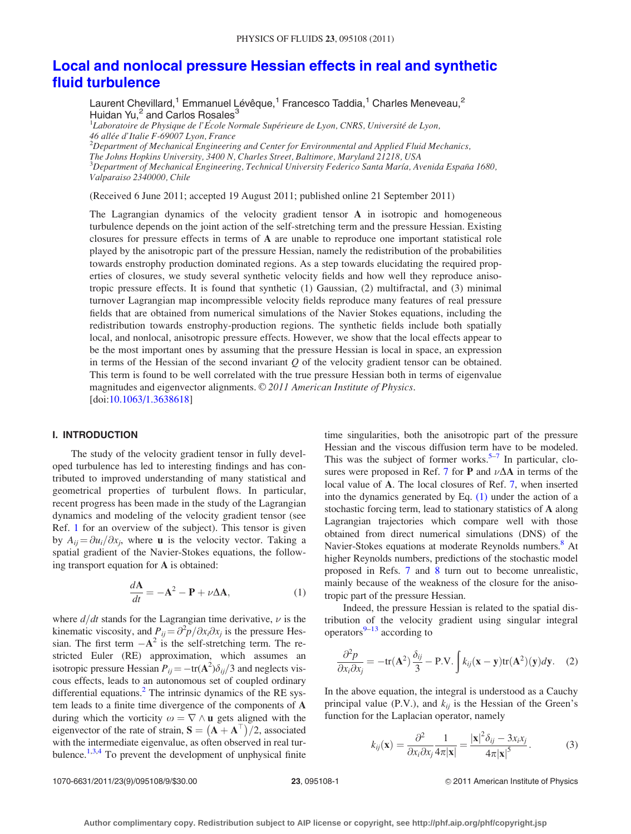# <span id="page-0-0"></span>[Local and nonlocal pressure Hessian effects in real and synthetic](http://dx.doi.org/10.1063/1.3638618) [fluid turbulence](http://dx.doi.org/10.1063/1.3638618)

Laurent Chevillard,<sup>1</sup> Emmanuel Lévêque,<sup>1</sup> Francesco Taddia,<sup>1</sup> Charles Meneveau,<sup>2</sup> Huidan Yu, $<sup>2</sup>$  and Carlos Rosales<sup>3</sup></sup>

<sup>1</sup>Laboratoire de Physique de l'École Normale Supérieure de Lyon, CNRS, Université de Lyon, 46 allée d'Italie F-69007 Lyon, France  $^{2}$ Department of Mechanical Engineering and Center for Environmental and Applied Fluid Mechanics, The Johns Hopkins University, 3400 N, Charles Street, Baltimore, Maryland 21218, USA  $^3$ Department of Mechanical Engineering, Technical University Federico Santa María, Avenida España 1680, Valparaiso 2340000, Chile

(Received 6 June 2011; accepted 19 August 2011; published online 21 September 2011)

The Lagrangian dynamics of the velocity gradient tensor A in isotropic and homogeneous turbulence depends on the joint action of the self-stretching term and the pressure Hessian. Existing closures for pressure effects in terms of A are unable to reproduce one important statistical role played by the anisotropic part of the pressure Hessian, namely the redistribution of the probabilities towards enstrophy production dominated regions. As a step towards elucidating the required properties of closures, we study several synthetic velocity fields and how well they reproduce anisotropic pressure effects. It is found that synthetic (1) Gaussian, (2) multifractal, and (3) minimal turnover Lagrangian map incompressible velocity fields reproduce many features of real pressure fields that are obtained from numerical simulations of the Navier Stokes equations, including the redistribution towards enstrophy-production regions. The synthetic fields include both spatially local, and nonlocal, anisotropic pressure effects. However, we show that the local effects appear to be the most important ones by assuming that the pressure Hessian is local in space, an expression in terms of the Hessian of the second invariant  $Q$  of the velocity gradient tensor can be obtained. This term is found to be well correlated with the true pressure Hessian both in terms of eigenvalue magnitudes and eigenvector alignments. © 2011 American Institute of Physics. [doi:[10.1063/1.3638618\]](http://dx.doi.org/10.1063/1.3638618)

# I. INTRODUCTION

The study of the velocity gradient tensor in fully developed turbulence has led to interesting findings and has contributed to improved understanding of many statistical and geometrical properties of turbulent flows. In particular, recent progress has been made in the study of the Lagrangian dynamics and modeling of the velocity gradient tensor (see Ref. [1](#page-7-0) for an overview of the subject). This tensor is given by  $A_{ii} = \partial u_i / \partial x_i$ , where **u** is the velocity vector. Taking a spatial gradient of the Navier-Stokes equations, the following transport equation for A is obtained:

$$
\frac{d\mathbf{A}}{dt} = -\mathbf{A}^2 - \mathbf{P} + \nu \Delta \mathbf{A},\tag{1}
$$

where  $d/dt$  stands for the Lagrangian time derivative,  $\nu$  is the kinematic viscosity, and  $P_{ij} = \frac{\partial^2 p}{\partial x_i \partial x_j}$  is the pressure Hessian. The first term  $-A^2$  is the self-stretching term. The restricted Euler (RE) approximation, which assumes an isotropic pressure Hessian  $P_{ij} = -\text{tr}(\mathbf{A}^2)\delta_{ij}/3$  and neglects viscous effects, leads to an autonomous set of coupled ordinary differential equations.<sup>[2](#page-7-0)</sup> The intrinsic dynamics of the RE system leads to a finite time divergence of the components of A during which the vorticity  $\omega = \nabla \wedge \mathbf{u}$  gets aligned with the eigenvector of the rate of strain,  $S = (A + A^T)/2$ , associated with the intermediate eigenvalue, as often observed in real tur-bulence.<sup>1,3[,4](#page-8-0)</sup> To prevent the development of unphysical finite time singularities, both the anisotropic part of the pressure Hessian and the viscous diffusion term have to be modeled. This was the subject of former works. $5-7$  In particular, clo-sures were proposed in Ref. [7](#page-8-0) for **P** and  $\nu\Delta A$  in terms of the local value of A. The local closures of Ref. [7](#page-8-0), when inserted into the dynamics generated by Eq. (1) under the action of a stochastic forcing term, lead to stationary statistics of A along Lagrangian trajectories which compare well with those obtained from direct numerical simulations (DNS) of the Navier-Stokes equations at moderate Reynolds numbers.<sup>[8](#page-8-0)</sup> At higher Reynolds numbers, predictions of the stochastic model proposed in Refs. [7](#page-8-0) and [8](#page-8-0) turn out to become unrealistic, mainly because of the weakness of the closure for the anisotropic part of the pressure Hessian.

Indeed, the pressure Hessian is related to the spatial distribution of the velocity gradient using singular integral operators $9-13$  $9-13$  $9-13$  according to

$$
\frac{\partial^2 p}{\partial x_i \partial x_j} = -\text{tr}(\mathbf{A}^2) \frac{\delta_{ij}}{3} - \text{P.V.} \int k_{ij} (\mathbf{x} - \mathbf{y}) \text{tr}(\mathbf{A}^2) (\mathbf{y}) d\mathbf{y}.
$$
 (2)

In the above equation, the integral is understood as a Cauchy principal value (P.V.), and  $k_{ij}$  is the Hessian of the Green's function for the Laplacian operator, namely

$$
k_{ij}(\mathbf{x}) = \frac{\partial^2}{\partial x_i \partial x_j} \frac{1}{4\pi |\mathbf{x}|} = \frac{|\mathbf{x}|^2 \delta_{ij} - 3x_i x_j}{4\pi |\mathbf{x}|^5}.
$$
 (3)

1070-6631/2011/23(9)/095108/9/\$30.00 23, 095108-1 23, 095108-1 23, 2009 2011 American Institute of Physics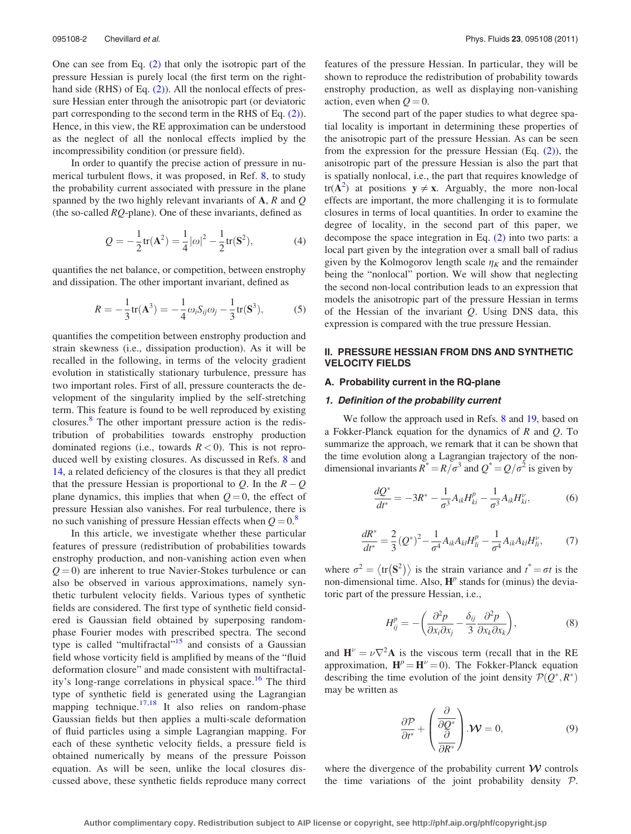<span id="page-1-0"></span>One can see from Eq. [\(2\)](#page-0-0) that only the isotropic part of the pressure Hessian is purely local (the first term on the right-hand side (RHS) of Eq. [\(2\)\)](#page-0-0). All the nonlocal effects of pressure Hessian enter through the anisotropic part (or deviatoric part corresponding to the second term in the RHS of Eq. [\(2\)](#page-0-0)). Hence, in this view, the RE approximation can be understood as the neglect of all the nonlocal effects implied by the incompressibility condition (or pressure field).

In order to quantify the precise action of pressure in numerical turbulent flows, it was proposed, in Ref. [8](#page-8-0), to study the probability current associated with pressure in the plane spanned by the two highly relevant invariants of  $A$ ,  $R$  and  $Q$ (the so-called  $RQ$ -plane). One of these invariants, defined as

$$
Q = -\frac{1}{2} \text{tr}(\mathbf{A}^2) = \frac{1}{4} |\omega|^2 - \frac{1}{2} \text{tr}(\mathbf{S}^2), \tag{4}
$$

quantifies the net balance, or competition, between enstrophy and dissipation. The other important invariant, defined as

$$
R = -\frac{1}{3}\text{tr}(\mathbf{A}^3) = -\frac{1}{4}\omega_i S_{ij}\omega_j - \frac{1}{3}\text{tr}(\mathbf{S}^3),\tag{5}
$$

quantifies the competition between enstrophy production and strain skewness (i.e., dissipation production). As it will be recalled in the following, in terms of the velocity gradient evolution in statistically stationary turbulence, pressure has two important roles. First of all, pressure counteracts the development of the singularity implied by the self-stretching term. This feature is found to be well reproduced by existing closures.[8](#page-8-0) The other important pressure action is the redistribution of probabilities towards enstrophy production dominated regions (i.e., towards  $R < 0$ ). This is not reproduced well by existing closures. As discussed in Refs. [8](#page-8-0) and [14](#page-8-0), a related deficiency of the closures is that they all predict that the pressure Hessian is proportional to Q. In the  $R-Q$ plane dynamics, this implies that when  $Q = 0$ , the effect of pressure Hessian also vanishes. For real turbulence, there is no such vanishing of pressure Hessian effects when  $Q = 0$ .<sup>[8](#page-8-0)</sup>

In this article, we investigate whether these particular features of pressure (redistribution of probabilities towards enstrophy production, and non-vanishing action even when  $Q = 0$ ) are inherent to true Navier-Stokes turbulence or can also be observed in various approximations, namely synthetic turbulent velocity fields. Various types of synthetic fields are considered. The first type of synthetic field considered is Gaussian field obtained by superposing randomphase Fourier modes with prescribed spectra. The second type is called "multifractal"<sup>[15](#page-8-0)</sup> and consists of a Gaussian field whose vorticity field is amplified by means of the "fluid deformation closure" and made consistent with multifractal-ity's long-range correlations in physical space.<sup>[16](#page-8-0)</sup> The third type of synthetic field is generated using the Lagrangian mapping technique.<sup>[17,18](#page-8-0)</sup> It also relies on random-phase Gaussian fields but then applies a multi-scale deformation of fluid particles using a simple Lagrangian mapping. For each of these synthetic velocity fields, a pressure field is obtained numerically by means of the pressure Poisson equation. As will be seen, unlike the local closures discussed above, these synthetic fields reproduce many correct features of the pressure Hessian. In particular, they will be shown to reproduce the redistribution of probability towards enstrophy production, as well as displaying non-vanishing action, even when  $Q = 0$ .

The second part of the paper studies to what degree spatial locality is important in determining these properties of the anisotropic part of the pressure Hessian. As can be seen from the expression for the pressure Hessian (Eq.  $(2)$ ), the anisotropic part of the pressure Hessian is also the part that is spatially nonlocal, i.e., the part that requires knowledge of  $tr(\mathbf{A}^2)$  $tr(\mathbf{A}^2)$  $tr(\mathbf{A}^2)$  at positions  $y \neq x$ . Arguably, the more non-local effects are important, the more challenging it is to formulate closures in terms of local quantities. In order to examine the degree of locality, in the second part of this paper, we decompose the space integration in Eq. [\(2\)](#page-0-0) into two parts: a local part given by the integration over a small ball of radius given by the Kolmogorov length scale  $\eta_K$  and the remainder being the "nonlocal" portion. We will show that neglecting the second non-local contribution leads to an expression that models the anisotropic part of the pressure Hessian in terms of the Hessian of the invariant  $Q$ . Using DNS data, this expression is compared with the true pressure Hessian.

# II. PRESSURE HESSIAN FROM DNS AND SYNTHETIC VELOCITY FIELDS

## A. Probability current in the RQ-plane

### 1. Definition of the probability current

We follow the approach used in Refs. [8](#page-8-0) and [19,](#page-8-0) based on a Fokker-Planck equation for the dynamics of  $R$  and  $Q$ . To summarize the approach, we remark that it can be shown that the time evolution along a Lagrangian trajectory of the nondimensional invariants  $R^* = R/\sigma^3$  and  $Q^* = Q/\sigma^2$  is given by

$$
\frac{dQ^*}{dt^*} = -3R^* - \frac{1}{\sigma^3}A_{ik}H_{ki}^p - \frac{1}{\sigma^3}A_{ik}H_{ki}^{\nu},\tag{6}
$$

$$
\frac{dR^*}{dt^*} = \frac{2}{3}(Q^*)^2 - \frac{1}{\sigma^4}A_{ik}A_{kl}H_{li}^p - \frac{1}{\sigma^4}A_{ik}A_{kl}H_{li}^\nu,\tag{7}
$$

where  $\sigma^2 = \langle tr(S^2) \rangle$  is the strain variance and  $t^* = \sigma t$  is the non-dimensional time. Also,  $\mathbf{H}^p$  stands for (minus) the deviatoric part of the pressure Hessian, i.e.,

$$
H_{ij}^{p} = -\left(\frac{\partial^2 p}{\partial x_i \partial x_j} - \frac{\delta_{ij}}{3} \frac{\partial^2 p}{\partial x_k \partial x_k}\right),\tag{8}
$$

and  $\mathbf{H}^{\nu} = \nu \nabla^2 \mathbf{A}$  is the viscous term (recall that in the RE approximation,  $H^p = H^{\nu} = 0$ ). The Fokker-Planck equation describing the time evolution of the joint density  $\mathcal{P}(Q^*, R^*)$ may be written as

$$
\frac{\partial \mathcal{P}}{\partial t^*} + \left(\frac{\partial}{\partial Q^*}\right) \mathcal{W} = 0, \tag{9}
$$

where the divergence of the probability current  $W$  controls the time variations of the joint probability density  $P$ .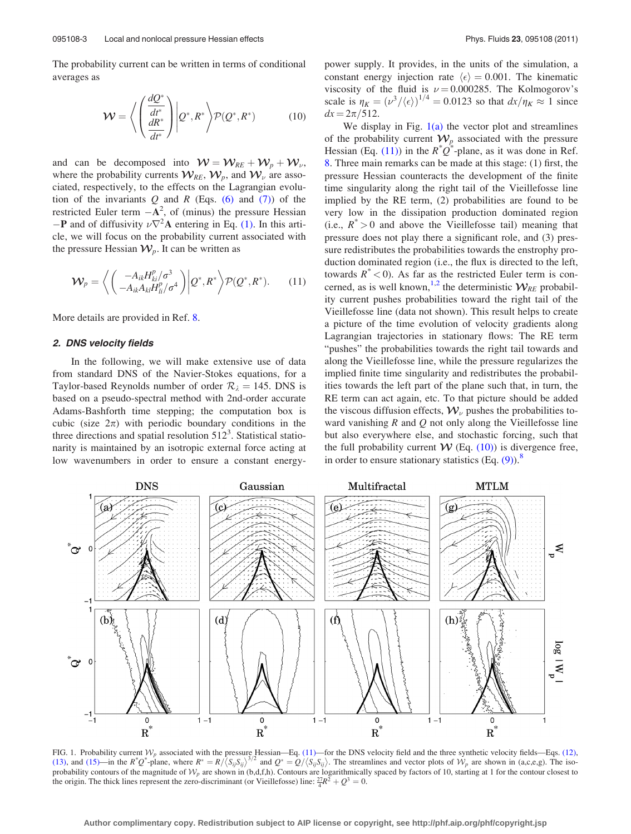<span id="page-2-0"></span>The probability current can be written in terms of conditional averages as

$$
\mathcal{W} = \left\langle \left( \frac{\frac{dQ^*}{dt^*}}{\frac{dR^*}{dt^*}} \right) \middle| Q^*, R^* \right\rangle \mathcal{P}(Q^*, R^*) \tag{10}
$$

and can be decomposed into  $W = \mathcal{W}_{RE} + \mathcal{W}_{p} + \mathcal{W}_{\nu}$ , where the probability currents  $\mathcal{W}_{\mathit{RE}}, \mathcal{W}_{\mathit{p}}$ , and  $\mathcal{W}_{\mathit{v}}$  are associated, respectively, to the effects on the Lagrangian evolution of the invariants  $Q$  and  $R$  (Eqs. [\(6\)](#page-1-0) and [\(7\)](#page-1-0)) of the restricted Euler term  $-\mathbf{A}^2$ , of (minus) the pressure Hessian  $-P$  and of diffusivity  $\nu \nabla^2 A$  entering in Eq. [\(1\)](#page-0-0). In this article, we will focus on the probability current associated with the pressure Hessian  $W_p$ . It can be written as

$$
\mathcal{W}_p = \left\langle \begin{pmatrix} -A_{ik}H_{ki}^p/\sigma^3\\ -A_{ik}A_{kl}H_{li}^p/\sigma^4 \end{pmatrix} \middle| Q^*, R^* \right\rangle \mathcal{P}(Q^*, R^*). \qquad (11)
$$

More details are provided in Ref. [8.](#page-8-0)

#### 2. DNS velocity fields

In the following, we will make extensive use of data from standard DNS of the Navier-Stokes equations, for a Taylor-based Reynolds number of order  $\mathcal{R}_{\lambda} = 145$ . DNS is based on a pseudo-spectral method with 2nd-order accurate Adams-Bashforth time stepping; the computation box is cubic (size  $2\pi$ ) with periodic boundary conditions in the three directions and spatial resolution  $512<sup>3</sup>$ . Statistical stationarity is maintained by an isotropic external force acting at low wavenumbers in order to ensure a constant energypower supply. It provides, in the units of the simulation, a constant energy injection rate  $\langle \epsilon \rangle = 0.001$ . The kinematic viscosity of the fluid is  $\nu = 0.000285$ . The Kolmogorov's scale is  $\eta_K = (\nu^3 / \langle \epsilon \rangle)^{1/4} = 0.0123$  so that  $dx / \eta_K \approx 1$  since  $dx = 2\pi/512$ .

We display in Fig.  $1(a)$  the vector plot and streamlines of the probability current  $W_p$  associated with the pressure Hessian (Eq. (11)) in the  $R^*Q^*$ -plane, as it was done in Ref. [8](#page-8-0). Three main remarks can be made at this stage: (1) first, the pressure Hessian counteracts the development of the finite time singularity along the right tail of the Vieillefosse line implied by the RE term, (2) probabilities are found to be very low in the dissipation production dominated region (i.e.,  $R^* > 0$  and above the Vieillefosse tail) meaning that pressure does not play there a significant role, and (3) pressure redistributes the probabilities towards the enstrophy production dominated region (i.e., the flux is directed to the left, towards  $R^*$  < 0). As far as the restricted Euler term is con-cerned, as is well known,<sup>[1,2](#page-7-0)</sup> the deterministic  $W_{RE}$  probability current pushes probabilities toward the right tail of the Vieillefosse line (data not shown). This result helps to create a picture of the time evolution of velocity gradients along Lagrangian trajectories in stationary flows: The RE term "pushes" the probabilities towards the right tail towards and along the Vieillefosse line, while the pressure regularizes the implied finite time singularity and redistributes the probabilities towards the left part of the plane such that, in turn, the RE term can act again, etc. To that picture should be added the viscous diffusion effects,  $\mathcal{W}_{\nu}$  pushes the probabilities toward vanishing  $R$  and  $Q$  not only along the Vieillefosse line but also everywhere else, and stochastic forcing, such that the full probability current  $W$  (Eq. (10)) is divergence free, in order to ensure stationary statistics  $(Eq. (9))$  $(Eq. (9))$  $(Eq. (9))$ .<sup>[8](#page-8-0)</sup>



FIG. 1. Probability current  $W_p$  associated with the pressure Hessian—Eq. (11)—for the DNS velocity field and the three synthetic velocity fields—Eqs. [\(12\),](#page-3-0) [\(13\)](#page-3-0), and [\(15\)—](#page-4-0)in the  $R^*Q^*$ and  $Q^* = Q/\langle S_{ij}S_{ij} \rangle$ . The streamlines and vector plots of  $W_p$  are shown in (a,c,e,g). The isoprobability contours of the magnitude of  $W_p$  are shown in (b,d,f,h). Contours are logarithmically spaced by factors of 10, starting at 1 for the contour closest to the origin. The thick lines represent the zero-discriminant (or Vieillefosse) line:  $\frac{27}{4}R^2 + Q^3 = 0$ .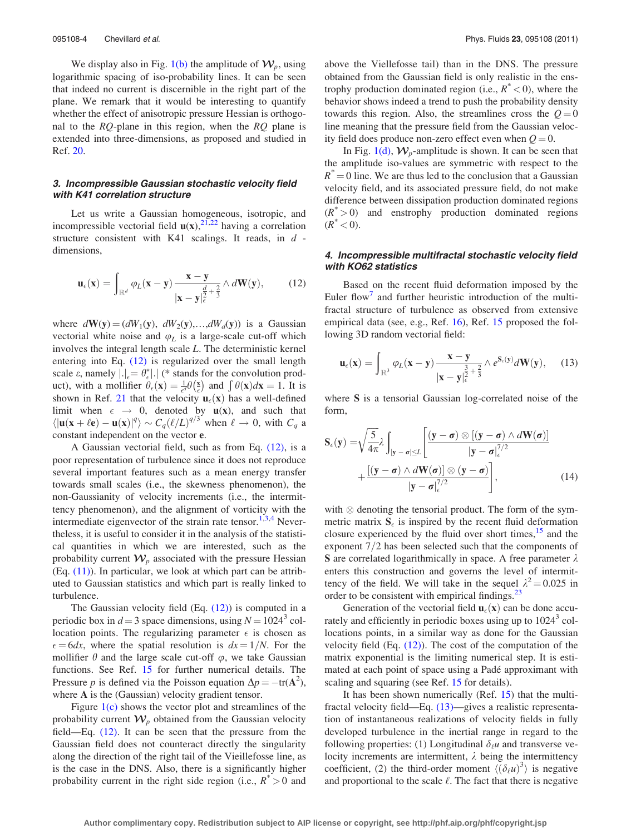<span id="page-3-0"></span>We display also in Fig. [1\(b\)](#page-2-0) the amplitude of  $W_p$ , using logarithmic spacing of iso-probability lines. It can be seen that indeed no current is discernible in the right part of the plane. We remark that it would be interesting to quantify whether the effect of anisotropic pressure Hessian is orthogonal to the  $RQ$ -plane in this region, when the  $RQ$  plane is extended into three-dimensions, as proposed and studied in Ref. [20.](#page-8-0)

# 3. Incompressible Gaussian stochastic velocity field with K41 correlation structure

Let us write a Gaussian homogeneous, isotropic, and incompressible vectorial field  $u(x)$ ,  $^{21,22}$  $^{21,22}$  $^{21,22}$  having a correlation structure consistent with K41 scalings. It reads, in  $d$  dimensions,

$$
\mathbf{u}_{\epsilon}(\mathbf{x}) = \int_{\mathbb{R}^d} \varphi_L(\mathbf{x} - \mathbf{y}) \frac{\mathbf{x} - \mathbf{y}}{|\mathbf{x} - \mathbf{y}|_{\epsilon}^{\frac{d}{2} + \frac{2}{3}}} \wedge d\mathbf{W}(\mathbf{y}), \qquad (12)
$$

where  $d\mathbf{W}(\mathbf{y}) = (dW_1(\mathbf{y}), dW_2(\mathbf{y}), \dots, dW_d(\mathbf{y}))$  is a Gaussian vectorial white noise and  $\varphi_L$  is a large-scale cut-off which involves the integral length scale L. The deterministic kernel entering into Eq. (12) is regularized over the small length scale  $\varepsilon$ , namely  $|.|_{\varepsilon} = \theta_{\varepsilon}^*|$ . (\* stands for the convolution prodscare *b*, namely  $\left| \cdot \right|_{\epsilon} = \frac{1}{\epsilon} \theta(\epsilon) = \frac{1}{\epsilon} \theta(\epsilon)$  and  $\int \theta(\mathbf{x}) d\mathbf{x} = 1$ . It is shown in Ref. [21](#page-8-0) that the velocity  $\mathbf{u}_{\epsilon}(\mathbf{x})$  has a well-defined limit when  $\epsilon \rightarrow 0$ , denoted by  $\mathbf{u}(\mathbf{x})$ , and such that  $\langle |\mathbf{u}(\mathbf{x}+\ell\mathbf{e})-\mathbf{u}(\mathbf{x})|^q \rangle \sim C_q(\ell/L)^{q/3}$  when  $\ell \to 0$ , with  $C_q$  a constant independent on the vector e.

A Gaussian vectorial field, such as from Eq. (12), is a poor representation of turbulence since it does not reproduce several important features such as a mean energy transfer towards small scales (i.e., the skewness phenomenon), the non-Gaussianity of velocity increments (i.e., the intermittency phenomenon), and the alignment of vorticity with the intermediate eigenvector of the strain rate tensor.<sup>[1,3,](#page-7-0)[4](#page-8-0)</sup> Nevertheless, it is useful to consider it in the analysis of the statistical quantities in which we are interested, such as the probability current  $W_p$  associated with the pressure Hessian  $(Eq. (11))$  $(Eq. (11))$ . In particular, we look at which part can be attributed to Gaussian statistics and which part is really linked to turbulence.

The Gaussian velocity field  $(Eq. (12))$  is computed in a periodic box in  $d = 3$  space dimensions, using  $N = 1024^3$  collocation points. The regularizing parameter  $\epsilon$  is chosen as  $\epsilon = 6dx$ , where the spatial resolution is  $dx = 1/N$ . For the mollifier  $\theta$  and the large scale cut-off  $\varphi$ , we take Gaussian functions. See Ref. [15](#page-8-0) for further numerical details. The Pressure p is defined via the Poisson equation  $\Delta p = -\text{tr}(\mathbf{A}^2)$ , where A is the (Gaussian) velocity gradient tensor.

Figure  $1(c)$  shows the vector plot and streamlines of the probability current  $W_p$  obtained from the Gaussian velocity field—Eq. (12). It can be seen that the pressure from the Gaussian field does not counteract directly the singularity along the direction of the right tail of the Vieillefosse line, as is the case in the DNS. Also, there is a significantly higher probability current in the right side region (i.e.,  $R^* > 0$  and above the Viellefosse tail) than in the DNS. The pressure obtained from the Gaussian field is only realistic in the enstrophy production dominated region (i.e.,  $R^*$  < 0), where the behavior shows indeed a trend to push the probability density towards this region. Also, the streamlines cross the  $Q = 0$ line meaning that the pressure field from the Gaussian velocity field does produce non-zero effect even when  $Q = 0$ .

In Fig. [1\(d\)](#page-2-0),  $W_p$ -amplitude is shown. It can be seen that the amplitude iso-values are symmetric with respect to the  $R^* = 0$  line. We are thus led to the conclusion that a Gaussian velocity field, and its associated pressure field, do not make difference between dissipation production dominated regions  $(R^*>0)$  and enstrophy production dominated regions  $(R^* < 0)$ .

# 4. Incompressible multifractal stochastic velocity field with KO62 statistics

Based on the recent fluid deformation imposed by the Euler flow<sup>[7](#page-8-0)</sup> and further heuristic introduction of the multifractal structure of turbulence as observed from extensive empirical data (see, e.g., Ref. [16\)](#page-8-0), Ref. [15](#page-8-0) proposed the following 3D random vectorial field:

$$
\mathbf{u}_{\epsilon}(\mathbf{x}) = \int_{\mathbb{R}^3} \varphi_L(\mathbf{x} - \mathbf{y}) \frac{\mathbf{x} - \mathbf{y}}{|\mathbf{x} - \mathbf{y}|_{\epsilon}^{\frac{3}{2} + \frac{2}{3}}} \wedge e^{S_{\epsilon}(\mathbf{y})} d\mathbf{W}(\mathbf{y}), \qquad (13)
$$

where S is a tensorial Gaussian log-correlated noise of the form,

$$
\mathbf{S}_{\epsilon}(\mathbf{y}) = \sqrt{\frac{5}{4\pi}} \lambda \int_{|\mathbf{y}-\boldsymbol{\sigma}| \le L} \left[ \frac{(\mathbf{y}-\boldsymbol{\sigma}) \otimes [(\mathbf{y}-\boldsymbol{\sigma}) \wedge d\mathbf{W}(\boldsymbol{\sigma})]}{|\mathbf{y}-\boldsymbol{\sigma}|_{\epsilon}^{7/2}} + \frac{[(\mathbf{y}-\boldsymbol{\sigma}) \wedge d\mathbf{W}(\boldsymbol{\sigma})] \otimes (\mathbf{y}-\boldsymbol{\sigma})}{|\mathbf{y}-\boldsymbol{\sigma}|_{\epsilon}^{7/2}} \right],
$$
(14)

with  $\otimes$  denoting the tensorial product. The form of the symmetric matrix  $S_{\epsilon}$  is inspired by the recent fluid deformation closure experienced by the fluid over short times,  $15$  and the exponent  $7/2$  has been selected such that the components of S are correlated logarithmically in space. A free parameter  $\lambda$ enters this construction and governs the level of intermittency of the field. We will take in the sequel  $\lambda^2 = 0.025$  in order to be consistent with empirical findings.<sup>23</sup>

Generation of the vectorial field  $\mathbf{u}_{\epsilon}(\mathbf{x})$  can be done accurately and efficiently in periodic boxes using up to  $1024<sup>3</sup>$  collocations points, in a similar way as done for the Gaussian velocity field  $(Eq. (12))$ . The cost of the computation of the matrix exponential is the limiting numerical step. It is estimated at each point of space using a Padé approximant with scaling and squaring (see Ref. [15](#page-8-0) for details).

It has been shown numerically (Ref. [15\)](#page-8-0) that the multifractal velocity field—Eq. (13)—gives a realistic representation of instantaneous realizations of velocity fields in fully developed turbulence in the inertial range in regard to the following properties: (1) Longitudinal  $\delta_{\ell}u$  and transverse velocity increments are intermittent,  $\lambda$  being the intermittency coefficient, (2) the third-order moment  $\langle (\delta_\ell u)^3 \rangle$  is negative and proportional to the scale  $\ell$ . The fact that there is negative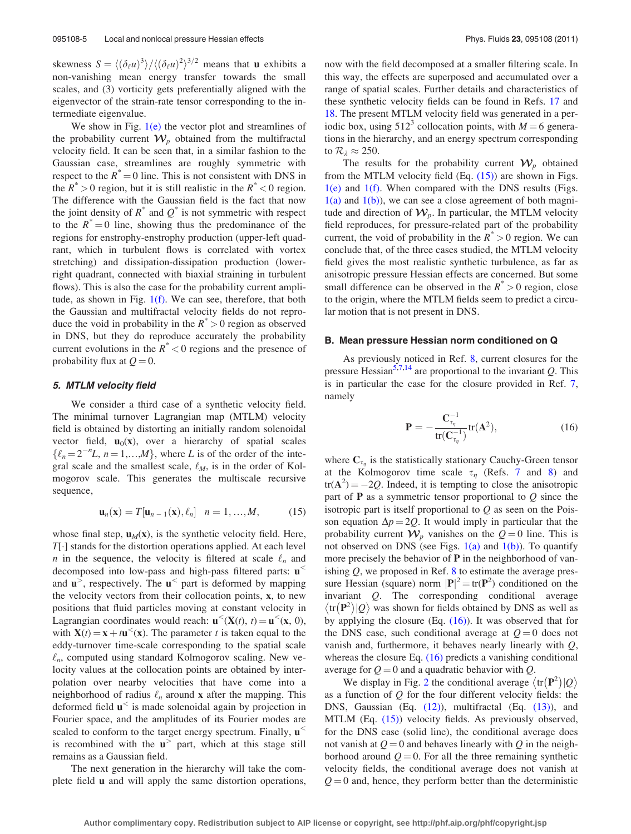<span id="page-4-0"></span>skewness  $S = \langle (\delta_\ell u)^3 \rangle / \langle (\delta_\ell u)^2 \rangle^{3/2}$  means that **u** exhibits a non-vanishing mean energy transfer towards the small scales, and (3) vorticity gets preferentially aligned with the eigenvector of the strain-rate tensor corresponding to the intermediate eigenvalue.

We show in Fig.  $1(e)$  the vector plot and streamlines of the probability current  $W_p$  obtained from the multifractal velocity field. It can be seen that, in a similar fashion to the Gaussian case, streamlines are roughly symmetric with respect to the  $R^* = 0$  line. This is not consistent with DNS in the  $R^* > 0$  region, but it is still realistic in the  $R^* < 0$  region. The difference with the Gaussian field is the fact that now the joint density of  $R^*$  and  $Q^*$  is not symmetric with respect to the  $R^* = 0$  line, showing thus the predominance of the regions for enstrophy-enstrophy production (upper-left quadrant, which in turbulent flows is correlated with vortex stretching) and dissipation-dissipation production (lowerright quadrant, connected with biaxial straining in turbulent flows). This is also the case for the probability current amplitude, as shown in Fig. [1\(f\)](#page-2-0). We can see, therefore, that both the Gaussian and multifractal velocity fields do not reproduce the void in probability in the  $R^* > 0$  region as observed in DNS, but they do reproduce accurately the probability current evolutions in the  $R^*$  < 0 regions and the presence of probability flux at  $Q = 0$ .

### 5. MTLM velocity field

We consider a third case of a synthetic velocity field. The minimal turnover Lagrangian map (MTLM) velocity field is obtained by distorting an initially random solenoidal vector field,  $\mathbf{u}_0(\mathbf{x})$ , over a hierarchy of spatial scales  $\{\ell_n = 2^{-n}L, n = 1,...,M\}$ , where L is of the order of the integral scale and the smallest scale,  $\ell_M$ , is in the order of Kolmogorov scale. This generates the multiscale recursive sequence,

$$
\mathbf{u}_n(\mathbf{x}) = T[\mathbf{u}_{n-1}(\mathbf{x}), \ell_n] \quad n = 1, \dots, M,
$$
 (15)

whose final step,  $u_M(x)$ , is the synthetic velocity field. Here,  $T[\cdot]$  stands for the distortion operations applied. At each level *n* in the sequence, the velocity is filtered at scale  $\ell_n$  and decomposed into low-pass and high-pass filtered parts: u<sup>&</sup>lt; and  $\mathbf{u}^>$ , respectively. The  $\mathbf{u}^<$  part is deformed by mapping the velocity vectors from their collocation points, x, to new positions that fluid particles moving at constant velocity in Lagrangian coordinates would reach:  $\mathbf{u}^{\leq}(\mathbf{X}(t), t) = \mathbf{u}^{\leq}(\mathbf{x}, 0)$ , with  $X(t) = x + t u<sup><</sup>(x)$ . The parameter t is taken equal to the eddy-turnover time-scale corresponding to the spatial scale  $\ell_n$ , computed using standard Kolmogorov scaling. New velocity values at the collocation points are obtained by interpolation over nearby velocities that have come into a neighborhood of radius  $\ell_n$  around x after the mapping. This deformed field  $\mathbf{u}^{\le}$  is made solenoidal again by projection in Fourier space, and the amplitudes of its Fourier modes are scaled to conform to the target energy spectrum. Finally,  $\mathbf{u}^{\leq}$ is recombined with the  $u^>$  part, which at this stage still remains as a Gaussian field.

The next generation in the hierarchy will take the complete field u and will apply the same distortion operations, now with the field decomposed at a smaller filtering scale. In this way, the effects are superposed and accumulated over a range of spatial scales. Further details and characteristics of these synthetic velocity fields can be found in Refs. [17](#page-8-0) and [18](#page-8-0). The present MTLM velocity field was generated in a periodic box, using  $512<sup>3</sup>$  collocation points, with  $M = 6$  generations in the hierarchy, and an energy spectrum corresponding to  $\mathcal{R}_{\lambda} \approx 250$ .

The results for the probability current  $W_p$  obtained from the MTLM velocity field  $(Eq. (15))$  are shown in Figs. [1\(e\)](#page-2-0) and [1\(f\)](#page-2-0). When compared with the DNS results (Figs.  $1(a)$  and  $1(b)$ ), we can see a close agreement of both magnitude and direction of  $W_p$ . In particular, the MTLM velocity field reproduces, for pressure-related part of the probability current, the void of probability in the  $R^* > 0$  region. We can conclude that, of the three cases studied, the MTLM velocity field gives the most realistic synthetic turbulence, as far as anisotropic pressure Hessian effects are concerned. But some small difference can be observed in the  $R^* > 0$  region, close to the origin, where the MTLM fields seem to predict a circular motion that is not present in DNS.

### B. Mean pressure Hessian norm conditioned on Q

As previously noticed in Ref. [8](#page-8-0), current closures for the pressure Hessian<sup>5,[7,14](#page-8-0)</sup> are proportional to the invariant  $Q$ . This is in particular the case for the closure provided in Ref. [7](#page-8-0), namely

$$
\mathbf{P} = -\frac{\mathbf{C}_{\tau_{\eta}}^{-1}}{\operatorname{tr}(\mathbf{C}_{\tau_{\eta}}^{-1})}\operatorname{tr}(\mathbf{A}^2),\tag{16}
$$

where  $C_{\tau_n}$  is the statistically stationary Cauchy-Green tensor at the Kolmogorov time scale  $\tau_{\eta}$  (Refs. [7](#page-8-0) and [8\)](#page-8-0) and  $tr(A<sup>2</sup>) = -2Q$ . Indeed, it is tempting to close the anisotropic part of  $P$  as a symmetric tensor proportional to  $Q$  since the isotropic part is itself proportional to  $Q$  as seen on the Poisson equation  $\Delta p = 2Q$ . It would imply in particular that the probability current  $W_p$  vanishes on the  $Q = 0$  line. This is not observed on DNS (see Figs.  $1(a)$  and  $1(b)$ ). To quantify more precisely the behavior of  $P$  in the neighborhood of vanishing  $Q$ , we proposed in Ref. [8](#page-8-0) to estimate the average pressure Hessian (square) norm  $|\mathbf{P}|^2 = \text{tr}(\mathbf{P}^2)$  conditioned on the invariant Q. The corresponding conditional average  $\langle tr(\mathbf{P}^2)|Q\rangle$  was shown for fields obtained by DNS as well as by applying the closure (Eq.  $(16)$ ). It was observed that for the DNS case, such conditional average at  $Q = 0$  does not vanish and, furthermore, it behaves nearly linearly with Q, whereas the closure Eq. (16) predicts a vanishing conditional average for  $Q = 0$  and a quadratic behavior with Q.

We display in Fig. [2](#page-5-0) the conditional average  $\langle tr(P^2)|Q \rangle$ as a function of  $Q$  for the four different velocity fields: the DNS, Gaussian (Eq. [\(12\)\)](#page-3-0), multifractal (Eq. [\(13\)](#page-3-0)), and MTLM (Eq. (15)) velocity fields. As previously observed, for the DNS case (solid line), the conditional average does not vanish at  $Q = 0$  and behaves linearly with Q in the neighborhood around  $Q = 0$ . For all the three remaining synthetic velocity fields, the conditional average does not vanish at  $Q = 0$  and, hence, they perform better than the deterministic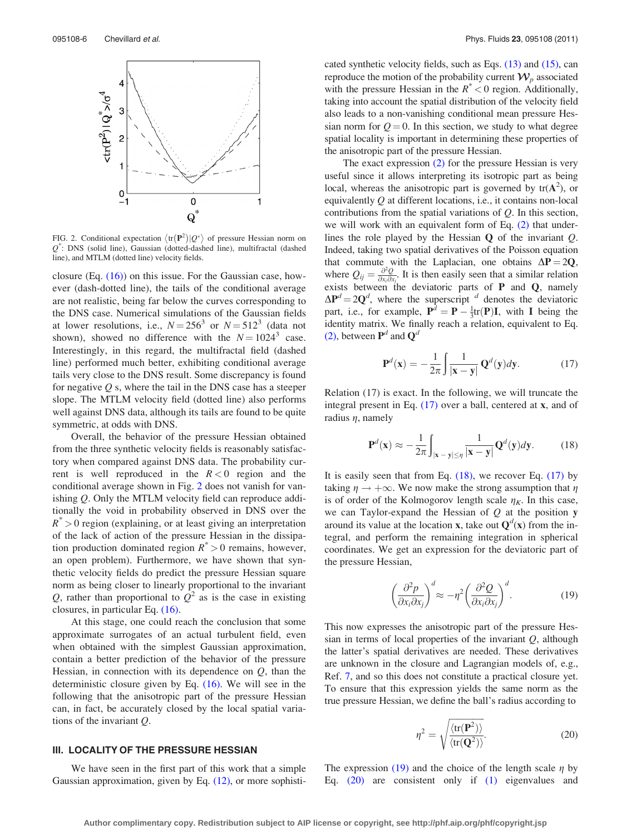<span id="page-5-0"></span>

FIG. 2. Conditional expectation  $\langle \text{tr}(\mathbf{P}^2)|\mathcal{Q}^* \rangle$  of pressure Hessian norm on Q\* : DNS (solid line), Gaussian (dotted-dashed line), multifractal (dashed line), and MTLM (dotted line) velocity fields.

closure (Eq.  $(16)$ ) on this issue. For the Gaussian case, however (dash-dotted line), the tails of the conditional average are not realistic, being far below the curves corresponding to the DNS case. Numerical simulations of the Gaussian fields at lower resolutions, i.e.,  $N = 256^3$  or  $N = 512^3$  (data not shown), showed no difference with the  $N = 1024^3$  case. Interestingly, in this regard, the multifractal field (dashed line) performed much better, exhibiting conditional average tails very close to the DNS result. Some discrepancy is found for negative  $Q$  s, where the tail in the DNS case has a steeper slope. The MTLM velocity field (dotted line) also performs well against DNS data, although its tails are found to be quite symmetric, at odds with DNS.

Overall, the behavior of the pressure Hessian obtained from the three synthetic velocity fields is reasonably satisfactory when compared against DNS data. The probability current is well reproduced in the  $R < 0$  region and the conditional average shown in Fig. 2 does not vanish for vanishing Q. Only the MTLM velocity field can reproduce additionally the void in probability observed in DNS over the  $R^{\degree} > 0$  region (explaining, or at least giving an interpretation of the lack of action of the pressure Hessian in the dissipation production dominated region  $R^* > 0$  remains, however, an open problem). Furthermore, we have shown that synthetic velocity fields do predict the pressure Hessian square norm as being closer to linearly proportional to the invariant Q, rather than proportional to  $Q^2$  as is the case in existing closures, in particular Eq. [\(16\)](#page-4-0).

At this stage, one could reach the conclusion that some approximate surrogates of an actual turbulent field, even when obtained with the simplest Gaussian approximation, contain a better prediction of the behavior of the pressure Hessian, in connection with its dependence on  $Q$ , than the deterministic closure given by Eq.  $(16)$ . We will see in the following that the anisotropic part of the pressure Hessian can, in fact, be accurately closed by the local spatial variations of the invariant Q.

# III. LOCALITY OF THE PRESSURE HESSIAN

We have seen in the first part of this work that a simple Gaussian approximation, given by Eq. [\(12\)](#page-3-0), or more sophisticated synthetic velocity fields, such as Eqs. [\(13\)](#page-3-0) and [\(15\),](#page-4-0) can reproduce the motion of the probability current  $\mathcal{W}_p$  associated with the pressure Hessian in the  $R^*$  < 0 region. Additionally, taking into account the spatial distribution of the velocity field also leads to a non-vanishing conditional mean pressure Hessian norm for  $Q = 0$ . In this section, we study to what degree spatial locality is important in determining these properties of the anisotropic part of the pressure Hessian.

The exact expression [\(2\)](#page-0-0) for the pressure Hessian is very useful since it allows interpreting its isotropic part as being local, whereas the anisotropic part is governed by  $tr(A^2)$ , or equivalently  $Q$  at different locations, i.e., it contains non-local contributions from the spatial variations of  $Q$ . In this section, we will work with an equivalent form of Eq. [\(2\)](#page-0-0) that underlines the role played by the Hessian Q of the invariant Q. Indeed, taking two spatial derivatives of the Poisson equation that commute with the Laplacian, one obtains  $\Delta P = 2Q$ , where  $Q_{ij} = \frac{\partial^2 Q}{\partial x_i \partial x_j}$ . It is then easily seen that a similar relation exists between the deviatoric parts of  $P$  and  $Q$ , namely  $\Delta P^d = 2Q^d$ , where the superscript <sup>d</sup> denotes the deviatoric part, i.e., for example,  $P^d = P - \frac{1}{3}tr(P)I$ , with I being the identity matrix. We finally reach a relation, equivalent to Eq. [\(2\)](#page-0-0), between  $P^d$  and  $Q^d$ 

$$
\mathbf{P}^d(\mathbf{x}) = -\frac{1}{2\pi} \int \frac{1}{|\mathbf{x} - \mathbf{y}|} \mathbf{Q}^d(\mathbf{y}) d\mathbf{y}.
$$
 (17)

Relation (17) is exact. In the following, we will truncate the integral present in Eq. (17) over a ball, centered at x, and of radius  $\eta$ , namely

$$
\mathbf{P}^d(\mathbf{x}) \approx -\frac{1}{2\pi} \int_{|\mathbf{x} - \mathbf{y}| \le \eta} \frac{1}{|\mathbf{x} - \mathbf{y}|} \mathbf{Q}^d(\mathbf{y}) d\mathbf{y}.
$$
 (18)

It is easily seen that from Eq. (18), we recover Eq. (17) by taking  $\eta \rightarrow +\infty$ . We now make the strong assumption that  $\eta$ is of order of the Kolmogorov length scale  $\eta_K$ . In this case, we can Taylor-expand the Hessian of  $Q$  at the position  $y$ around its value at the location **x**, take out  $Q^d(x)$  from the integral, and perform the remaining integration in spherical coordinates. We get an expression for the deviatoric part of the pressure Hessian,

$$
\left(\frac{\partial^2 p}{\partial x_i \partial x_j}\right)^d \approx -\eta^2 \left(\frac{\partial^2 Q}{\partial x_i \partial x_j}\right)^d.
$$
 (19)

This now expresses the anisotropic part of the pressure Hessian in terms of local properties of the invariant  $Q$ , although the latter's spatial derivatives are needed. These derivatives are unknown in the closure and Lagrangian models of, e.g., Ref. [7,](#page-8-0) and so this does not constitute a practical closure yet. To ensure that this expression yields the same norm as the true pressure Hessian, we define the ball's radius according to

$$
\eta^2 = \sqrt{\frac{\langle \text{tr}(\mathbf{P}^2) \rangle}{\langle \text{tr}(\mathbf{Q}^2) \rangle}}.
$$
 (20)

The expression (19) and the choice of the length scale  $\eta$  by Eq. (20) are consistent only if [\(1\)](#page-0-0) eigenvalues and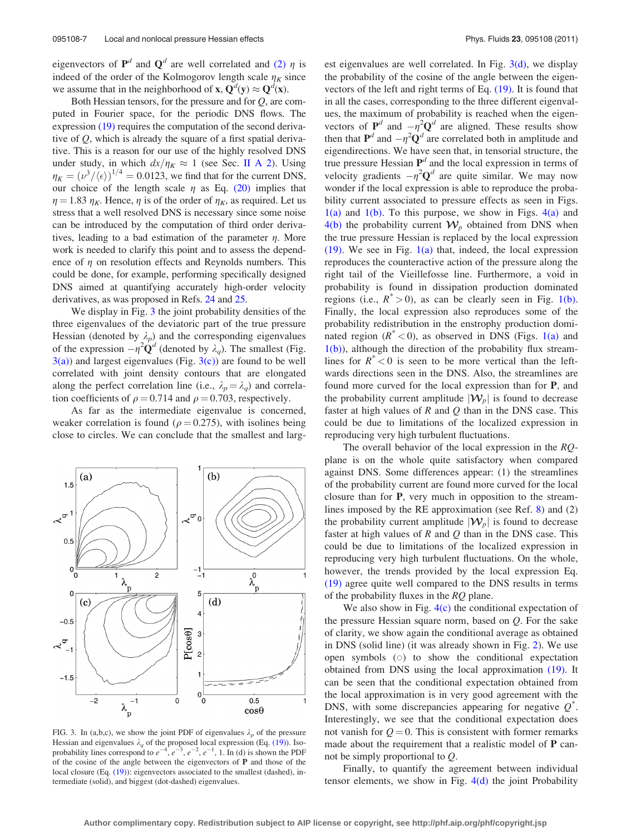eigenvectors of  $P^d$  and  $Q^d$  are well correlated and [\(2\)](#page-0-0)  $\eta$  is indeed of the order of the Kolmogorov length scale  $\eta_K$  since we assume that in the neighborhood of **x**,  $Q^d(y) \approx Q^d(x)$ .

Both Hessian tensors, for the pressure and for  $Q$ , are computed in Fourier space, for the periodic DNS flows. The expression [\(19\)](#page-5-0) requires the computation of the second derivative of  $Q$ , which is already the square of a first spatial derivative. This is a reason for our use of the highly resolved DNS under study, in which  $dx/\eta_K \approx 1$  (see Sec. [II A 2\)](#page-2-0). Using  $\eta_K = (\nu^3 / \langle \epsilon \rangle)^{1/4} = 0.0123$ , we find that for the current DNS, our choice of the length scale  $\eta$  as Eq. [\(20\)](#page-5-0) implies that  $\eta = 1.83 \eta_K$ . Hence,  $\eta$  is of the order of  $\eta_K$ , as required. Let us stress that a well resolved DNS is necessary since some noise can be introduced by the computation of third order derivatives, leading to a bad estimation of the parameter  $\eta$ . More work is needed to clarify this point and to assess the dependence of  $\eta$  on resolution effects and Reynolds numbers. This could be done, for example, performing specifically designed DNS aimed at quantifying accurately high-order velocity derivatives, as was proposed in Refs. [24](#page-8-0) and [25.](#page-8-0)

We display in Fig. 3 the joint probability densities of the three eigenvalues of the deviatoric part of the true pressure Hessian (denoted by  $\lambda_p$ ) and the corresponding eigenvalues of the expression  $-\eta^2 \mathbf{Q}^d$  (denoted by  $\lambda_q$ ). The smallest (Fig.  $3(a)$ ) and largest eigenvalues (Fig.  $3(c)$ ) are found to be well correlated with joint density contours that are elongated along the perfect correlation line (i.e.,  $\lambda_p = \lambda_q$ ) and correlation coefficients of  $\rho = 0.714$  and  $\rho = 0.703$ , respectively.

As far as the intermediate eigenvalue is concerned, weaker correlation is found ( $\rho = 0.275$ ), with isolines being close to circles. We can conclude that the smallest and larg-



FIG. 3. In (a,b,c), we show the joint PDF of eigenvalues  $\lambda_p$  of the pressure Hessian and eigenvalues  $\lambda_q$  of the proposed local expression (Eq. [\(19\)\)](#page-5-0). Isoprobability lines correspond to  $e^{-4}$ ,  $e^{-3}$ ,  $e^{-2}$ ,  $e^{-1}$ , 1. In (d) is shown the PDF of the cosine of the angle between the eigenvectors of P and those of the local closure (Eq.  $(19)$ ): eigenvectors associated to the smallest (dashed), intermediate (solid), and biggest (dot-dashed) eigenvalues.

est eigenvalues are well correlated. In Fig.  $3(d)$ , we display the probability of the cosine of the angle between the eigenvectors of the left and right terms of Eq. [\(19\).](#page-5-0) It is found that in all the cases, corresponding to the three different eigenvalues, the maximum of probability is reached when the eigenvectors of  $P^d$  and  $-\eta^2 Q^d$  are aligned. These results show then that  $P^d$  and  $-\eta^2 Q^d$  are correlated both in amplitude and eigendirections. We have seen that, in tensorial structure, the true pressure Hessian  $\mathbf{P}^{d}$  and the local expression in terms of velocity gradients  $-\eta^2 \mathbf{Q}^d$  are quite similar. We may now wonder if the local expression is able to reproduce the probability current associated to pressure effects as seen in Figs.  $1(a)$  and  $1(b)$ . To this purpose, we show in Figs.  $4(a)$  and [4\(b\)](#page-7-0) the probability current  $W_p$  obtained from DNS when the true pressure Hessian is replaced by the local expression  $(19)$ . We see in Fig.  $1(a)$  that, indeed, the local expression reproduces the counteractive action of the pressure along the right tail of the Vieillefosse line. Furthermore, a void in probability is found in dissipation production dominated regions (i.e.,  $R^* > 0$ ), as can be clearly seen in Fig. [1\(b\)](#page-2-0). Finally, the local expression also reproduces some of the probability redistribution in the enstrophy production dominated region  $(R^* < 0)$ , as observed in DNS (Figs. [1\(a\)](#page-2-0) and  $1(b)$ ), although the direction of the probability flux streamlines for  $R^*$  < 0 is seen to be more vertical than the leftwards directions seen in the DNS. Also, the streamlines are found more curved for the local expression than for P, and the probability current amplitude  $|\mathcal{W}_p|$  is found to decrease faster at high values of  $R$  and  $Q$  than in the DNS case. This could be due to limitations of the localized expression in reproducing very high turbulent fluctuations.

The overall behavior of the local expression in the RQplane is on the whole quite satisfactory when compared against DNS. Some differences appear: (1) the streamlines of the probability current are found more curved for the local closure than for P, very much in opposition to the streamlines imposed by the RE approximation (see Ref. [8](#page-8-0)) and (2) the probability current amplitude  $|\mathcal{W}_p|$  is found to decrease faster at high values of  $R$  and  $Q$  than in the DNS case. This could be due to limitations of the localized expression in reproducing very high turbulent fluctuations. On the whole, however, the trends provided by the local expression Eq. [\(19\)](#page-5-0) agree quite well compared to the DNS results in terms of the probability fluxes in the  $RQ$  plane.

We also show in Fig. [4\(c\)](#page-7-0) the conditional expectation of the pressure Hessian square norm, based on  $Q$ . For the sake of clarity, we show again the conditional average as obtained in DNS (solid line) (it was already shown in Fig. [2](#page-5-0)). We use open symbols  $(0)$  to show the conditional expectation obtained from DNS using the local approximation [\(19\)](#page-5-0). It can be seen that the conditional expectation obtained from the local approximation is in very good agreement with the DNS, with some discrepancies appearing for negative  $Q^*$ . Interestingly, we see that the conditional expectation does not vanish for  $Q = 0$ . This is consistent with former remarks made about the requirement that a realistic model of **P** cannot be simply proportional to Q.

Finally, to quantify the agreement between individual tensor elements, we show in Fig.  $4(d)$  the joint Probability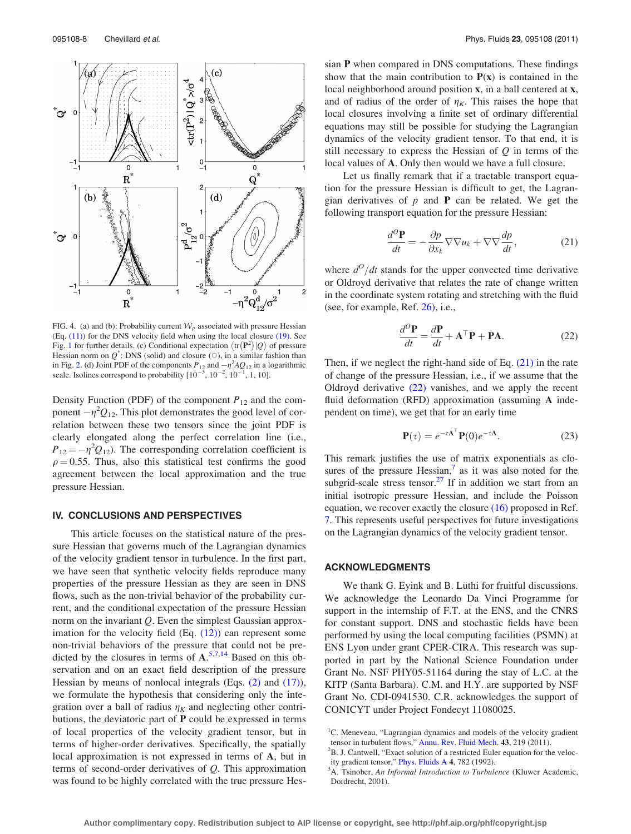<span id="page-7-0"></span>

FIG. 4. (a) and (b): Probability current  $W_p$  associated with pressure Hessian (Eq. [\(11\)](#page-2-0)) for the DNS velocity field when using the local closure [\(19\)](#page-5-0). See Fig. [1](#page-2-0) for further details. (c) Conditional expectation  $\langle \text{tr}(\mathbf{P}^2)|\mathcal{Q}\rangle$  of pressure Hessian norm on  $Q^*$ : DNS (solid) and closure ( $\circ$ ), in a similar fashion than in Fig. [2.](#page-5-0) (d) Joint PDF of the components  $P_{12}$  and  $-\eta^2 A Q_{12}$  in a logarithmic scale. Isolines correspond to probability  $[10^{-3}, 10^{-2}, 10^{-1}, 1, 10]$ .

Density Function (PDF) of the component  $P_{12}$  and the component  $-\eta^2 Q_{12}$ . This plot demonstrates the good level of correlation between these two tensors since the joint PDF is clearly elongated along the perfect correlation line (i.e.,  $P_{12} = -\eta^2 Q_{12}$ ). The corresponding correlation coefficient is  $\rho = 0.55$ . Thus, also this statistical test confirms the good agreement between the local approximation and the true pressure Hessian.

### IV. CONCLUSIONS AND PERSPECTIVES

This article focuses on the statistical nature of the pressure Hessian that governs much of the Lagrangian dynamics of the velocity gradient tensor in turbulence. In the first part, we have seen that synthetic velocity fields reproduce many properties of the pressure Hessian as they are seen in DNS flows, such as the non-trivial behavior of the probability current, and the conditional expectation of the pressure Hessian norm on the invariant  $Q$ . Even the simplest Gaussian approximation for the velocity field  $(Eq. (12))$  $(Eq. (12))$  $(Eq. (12))$  can represent some non-trivial behaviors of the pressure that could not be predicted by the closures in terms of  $A$ <sup>[5,7,14](#page-8-0)</sup> Based on this observation and on an exact field description of the pressure Hessian by means of nonlocal integrals (Eqs. [\(2\)](#page-0-0) and [\(17\)](#page-5-0)), we formulate the hypothesis that considering only the integration over a ball of radius  $\eta_K$  and neglecting other contributions, the deviatoric part of  $P$  could be expressed in terms of local properties of the velocity gradient tensor, but in terms of higher-order derivatives. Specifically, the spatially local approximation is not expressed in terms of A, but in terms of second-order derivatives of Q. This approximation was found to be highly correlated with the true pressure Hessian P when compared in DNS computations. These findings show that the main contribution to  $P(x)$  is contained in the local neighborhood around position x, in a ball centered at x, and of radius of the order of  $\eta_K$ . This raises the hope that local closures involving a finite set of ordinary differential equations may still be possible for studying the Lagrangian dynamics of the velocity gradient tensor. To that end, it is still necessary to express the Hessian of  $Q$  in terms of the local values of A. Only then would we have a full closure.

Let us finally remark that if a tractable transport equation for the pressure Hessian is difficult to get, the Lagrangian derivatives of  $p$  and  $P$  can be related. We get the following transport equation for the pressure Hessian:

$$
\frac{d^O \mathbf{P}}{dt} = -\frac{\partial p}{\partial x_k} \nabla \nabla u_k + \nabla \nabla \frac{dp}{dt},\tag{21}
$$

where  $d^O/dt$  stands for the upper convected time derivative or Oldroyd derivative that relates the rate of change written in the coordinate system rotating and stretching with the fluid (see, for example, Ref. [26\)](#page-8-0), i.e.,

$$
\frac{d^{O}\mathbf{P}}{dt} = \frac{d\mathbf{P}}{dt} + \mathbf{A}^{\top}\mathbf{P} + \mathbf{P}\mathbf{A}.
$$
 (22)

Then, if we neglect the right-hand side of Eq. (21) in the rate of change of the pressure Hessian, i.e., if we assume that the Oldroyd derivative  $(22)$  vanishes, and we apply the recent fluid deformation (RFD) approximation (assuming A independent on time), we get that for an early time

$$
\mathbf{P}(\tau) = e^{-\tau \mathbf{A}^\top} \mathbf{P}(0) e^{-\tau \mathbf{A}}.
$$
 (23)

This remark justifies the use of matrix exponentials as closures of the pressure Hessian, $\frac{7}{1}$  as it was also noted for the subgrid-scale stress tensor.<sup>27</sup> If in addition we start from an initial isotropic pressure Hessian, and include the Poisson equation, we recover exactly the closure [\(16\)](#page-4-0) proposed in Ref. [7.](#page-8-0) This represents useful perspectives for future investigations on the Lagrangian dynamics of the velocity gradient tensor.

### ACKNOWLEDGMENTS

We thank G. Eyink and B. Lüthi for fruitful discussions. We acknowledge the Leonardo Da Vinci Programme for support in the internship of F.T. at the ENS, and the CNRS for constant support. DNS and stochastic fields have been performed by using the local computing facilities (PSMN) at ENS Lyon under grant CPER-CIRA. This research was supported in part by the National Science Foundation under Grant No. NSF PHY05-51164 during the stay of L.C. at the KITP (Santa Barbara). C.M. and H.Y. are supported by NSF Grant No. CDI-0941530. C.R. acknowledges the support of CONICYT under Project Fondecyt 11080025.

<sup>&</sup>lt;sup>1</sup>C. Meneveau, "Lagrangian dynamics and models of the velocity gradient tensor in turbulent flows," [Annu. Rev. Fluid Mech.](http://dx.doi.org/10.1146/annurev-fluid-122109-160708) 43, 219 (2011).

 ${}^{2}$ B. J. Cantwell, "Exact solution of a restricted Euler equation for the veloc-ity gradient tensor," [Phys. Fluids A](http://dx.doi.org/10.1063/1.858295) 4, 782 (1992).

 ${}^{3}$ A. Tsinober, An Informal Introduction to Turbulence (Kluwer Academic,

Dordrecht, 2001).